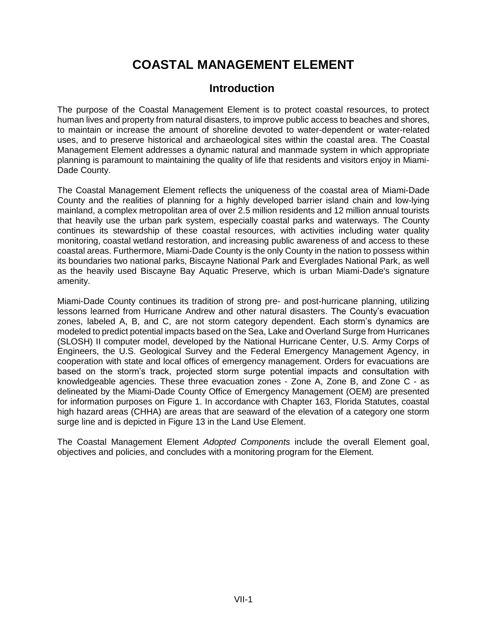# **COASTAL MANAGEMENT ELEMENT**

# **Introduction**

The purpose of the Coastal Management Element is to protect coastal resources, to protect human lives and property from natural disasters, to improve public access to beaches and shores, to maintain or increase the amount of shoreline devoted to water-dependent or water-related uses, and to preserve historical and archaeological sites within the coastal area. The Coastal Management Element addresses a dynamic natural and manmade system in which appropriate planning is paramount to maintaining the quality of life that residents and visitors enjoy in Miami-Dade County.

The Coastal Management Element reflects the uniqueness of the coastal area of Miami-Dade County and the realities of planning for a highly developed barrier island chain and low-lying mainland, a complex metropolitan area of over 2.5 million residents and 12 million annual tourists that heavily use the urban park system, especially coastal parks and waterways. The County continues its stewardship of these coastal resources, with activities including water quality monitoring, coastal wetland restoration, and increasing public awareness of and access to these coastal areas. Furthermore, Miami-Dade County is the only County in the nation to possess within its boundaries two national parks, Biscayne National Park and Everglades National Park, as well as the heavily used Biscayne Bay Aquatic Preserve, which is urban Miami-Dade's signature amenity.

Miami-Dade County continues its tradition of strong pre- and post-hurricane planning, utilizing lessons learned from Hurricane Andrew and other natural disasters. The County's evacuation zones, labeled A, B, and C, are not storm category dependent. Each storm's dynamics are modeled to predict potential impacts based on the Sea, Lake and Overland Surge from Hurricanes (SLOSH) II computer model, developed by the National Hurricane Center, U.S. Army Corps of Engineers, the U.S. Geological Survey and the Federal Emergency Management Agency, in cooperation with state and local offices of emergency management. Orders for evacuations are based on the storm's track, projected storm surge potential impacts and consultation with knowledgeable agencies. These three evacuation zones - Zone A, Zone B, and Zone C - as delineated by the Miami-Dade County Office of Emergency Management (OEM) are presented for information purposes on Figure 1. In accordance with Chapter 163, Florida Statutes, coastal high hazard areas (CHHA) are areas that are seaward of the elevation of a category one storm surge line and is depicted in Figure 13 in the Land Use Element.

The Coastal Management Element *Adopted Components* include the overall Element goal, objectives and policies, and concludes with a monitoring program for the Element.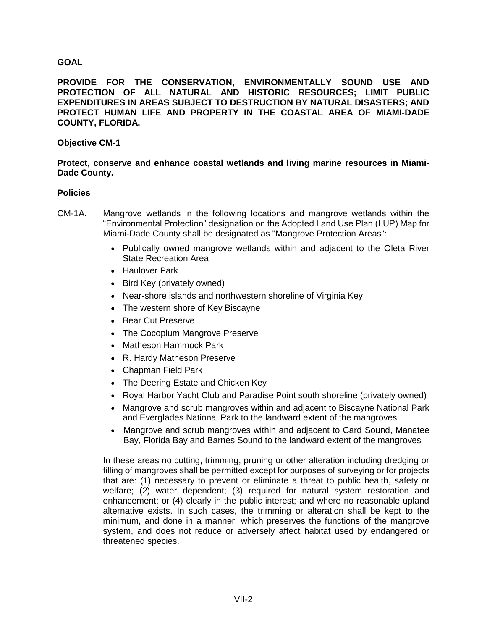# **GOAL**

**PROVIDE FOR THE CONSERVATION, ENVIRONMENTALLY SOUND USE AND PROTECTION OF ALL NATURAL AND HISTORIC RESOURCES; LIMIT PUBLIC EXPENDITURES IN AREAS SUBJECT TO DESTRUCTION BY NATURAL DISASTERS; AND PROTECT HUMAN LIFE AND PROPERTY IN THE COASTAL AREA OF MIAMI-DADE COUNTY, FLORIDA.** 

# **Objective CM-1**

#### **Protect, conserve and enhance coastal wetlands and living marine resources in Miami-Dade County.**

#### **Policies**

- CM-1A. Mangrove wetlands in the following locations and mangrove wetlands within the "Environmental Protection" designation on the Adopted Land Use Plan (LUP) Map for Miami-Dade County shall be designated as "Mangrove Protection Areas":
	- Publically owned mangrove wetlands within and adjacent to the Oleta River State Recreation Area
	- Haulover Park
	- Bird Key (privately owned)
	- Near-shore islands and northwestern shoreline of Virginia Key
	- The western shore of Key Biscayne
	- Bear Cut Preserve
	- The Cocoplum Mangrove Preserve
	- Matheson Hammock Park
	- R. Hardy Matheson Preserve
	- Chapman Field Park
	- The Deering Estate and Chicken Key
	- Royal Harbor Yacht Club and Paradise Point south shoreline (privately owned)
	- Mangrove and scrub mangroves within and adjacent to Biscayne National Park and Everglades National Park to the landward extent of the mangroves
	- Mangrove and scrub mangroves within and adjacent to Card Sound, Manatee Bay, Florida Bay and Barnes Sound to the landward extent of the mangroves

In these areas no cutting, trimming, pruning or other alteration including dredging or filling of mangroves shall be permitted except for purposes of surveying or for projects that are: (1) necessary to prevent or eliminate a threat to public health, safety or welfare; (2) water dependent; (3) required for natural system restoration and enhancement; or (4) clearly in the public interest; and where no reasonable upland alternative exists. In such cases, the trimming or alteration shall be kept to the minimum, and done in a manner, which preserves the functions of the mangrove system, and does not reduce or adversely affect habitat used by endangered or threatened species.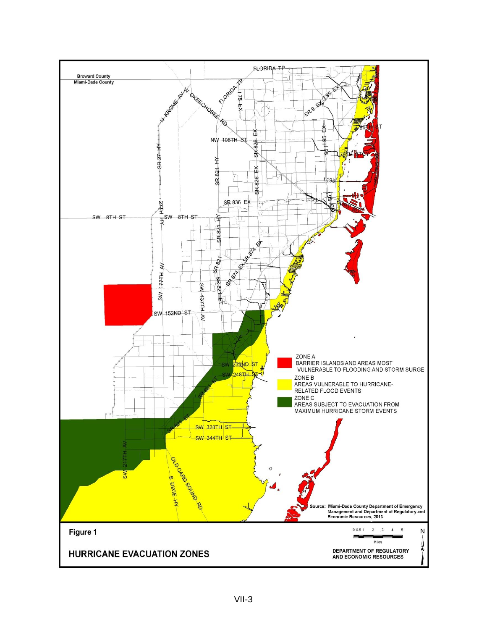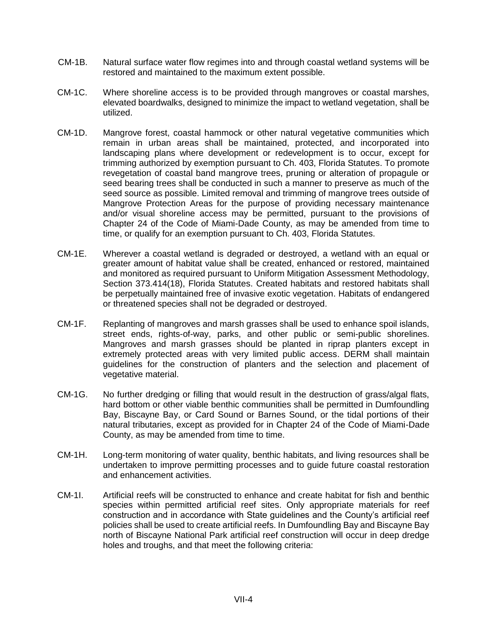- CM-1B. Natural surface water flow regimes into and through coastal wetland systems will be restored and maintained to the maximum extent possible.
- CM-1C. Where shoreline access is to be provided through mangroves or coastal marshes, elevated boardwalks, designed to minimize the impact to wetland vegetation, shall be utilized.
- CM-1D. Mangrove forest, coastal hammock or other natural vegetative communities which remain in urban areas shall be maintained, protected, and incorporated into landscaping plans where development or redevelopment is to occur, except for trimming authorized by exemption pursuant to Ch. 403, Florida Statutes. To promote revegetation of coastal band mangrove trees, pruning or alteration of propagule or seed bearing trees shall be conducted in such a manner to preserve as much of the seed source as possible. Limited removal and trimming of mangrove trees outside of Mangrove Protection Areas for the purpose of providing necessary maintenance and/or visual shoreline access may be permitted, pursuant to the provisions of Chapter 24 of the Code of Miami-Dade County, as may be amended from time to time, or qualify for an exemption pursuant to Ch. 403, Florida Statutes.
- CM-1E. Wherever a coastal wetland is degraded or destroyed, a wetland with an equal or greater amount of habitat value shall be created, enhanced or restored, maintained and monitored as required pursuant to Uniform Mitigation Assessment Methodology, Section 373.414(18), Florida Statutes. Created habitats and restored habitats shall be perpetually maintained free of invasive exotic vegetation. Habitats of endangered or threatened species shall not be degraded or destroyed.
- CM-1F. Replanting of mangroves and marsh grasses shall be used to enhance spoil islands, street ends, rights-of-way, parks, and other public or semi-public shorelines. Mangroves and marsh grasses should be planted in riprap planters except in extremely protected areas with very limited public access. DERM shall maintain guidelines for the construction of planters and the selection and placement of vegetative material.
- CM-1G. No further dredging or filling that would result in the destruction of grass/algal flats, hard bottom or other viable benthic communities shall be permitted in Dumfoundling Bay, Biscayne Bay, or Card Sound or Barnes Sound, or the tidal portions of their natural tributaries, except as provided for in Chapter 24 of the Code of Miami-Dade County, as may be amended from time to time.
- CM-1H. Long-term monitoring of water quality, benthic habitats, and living resources shall be undertaken to improve permitting processes and to guide future coastal restoration and enhancement activities.
- CM-1I. Artificial reefs will be constructed to enhance and create habitat for fish and benthic species within permitted artificial reef sites. Only appropriate materials for reef construction and in accordance with State guidelines and the County's artificial reef policies shall be used to create artificial reefs. In Dumfoundling Bay and Biscayne Bay north of Biscayne National Park artificial reef construction will occur in deep dredge holes and troughs, and that meet the following criteria: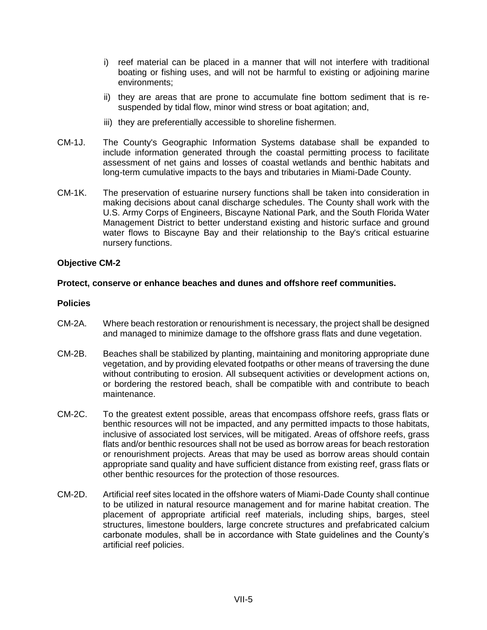- i) reef material can be placed in a manner that will not interfere with traditional boating or fishing uses, and will not be harmful to existing or adjoining marine environments;
- ii) they are areas that are prone to accumulate fine bottom sediment that is resuspended by tidal flow, minor wind stress or boat agitation; and,
- iii) they are preferentially accessible to shoreline fishermen.
- CM-1J. The County's Geographic Information Systems database shall be expanded to include information generated through the coastal permitting process to facilitate assessment of net gains and losses of coastal wetlands and benthic habitats and long-term cumulative impacts to the bays and tributaries in Miami-Dade County.
- CM-1K. The preservation of estuarine nursery functions shall be taken into consideration in making decisions about canal discharge schedules. The County shall work with the U.S. Army Corps of Engineers, Biscayne National Park, and the South Florida Water Management District to better understand existing and historic surface and ground water flows to Biscayne Bay and their relationship to the Bay's critical estuarine nursery functions.

# **Protect, conserve or enhance beaches and dunes and offshore reef communities.**

- CM-2A. Where beach restoration or renourishment is necessary, the project shall be designed and managed to minimize damage to the offshore grass flats and dune vegetation.
- CM-2B. Beaches shall be stabilized by planting, maintaining and monitoring appropriate dune vegetation, and by providing elevated footpaths or other means of traversing the dune without contributing to erosion. All subsequent activities or development actions on, or bordering the restored beach, shall be compatible with and contribute to beach maintenance.
- CM-2C. To the greatest extent possible, areas that encompass offshore reefs, grass flats or benthic resources will not be impacted, and any permitted impacts to those habitats, inclusive of associated lost services, will be mitigated. Areas of offshore reefs, grass flats and/or benthic resources shall not be used as borrow areas for beach restoration or renourishment projects. Areas that may be used as borrow areas should contain appropriate sand quality and have sufficient distance from existing reef, grass flats or other benthic resources for the protection of those resources.
- CM-2D. Artificial reef sites located in the offshore waters of Miami-Dade County shall continue to be utilized in natural resource management and for marine habitat creation. The placement of appropriate artificial reef materials, including ships, barges, steel structures, limestone boulders, large concrete structures and prefabricated calcium carbonate modules, shall be in accordance with State guidelines and the County's artificial reef policies.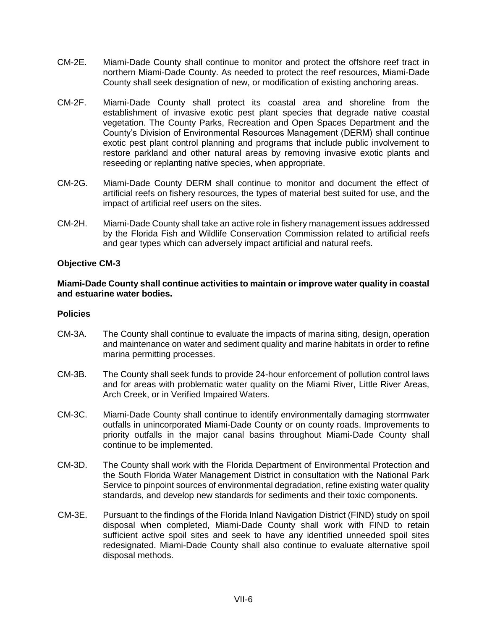- CM-2E. Miami-Dade County shall continue to monitor and protect the offshore reef tract in northern Miami-Dade County. As needed to protect the reef resources, Miami-Dade County shall seek designation of new, or modification of existing anchoring areas.
- CM-2F. Miami-Dade County shall protect its coastal area and shoreline from the establishment of invasive exotic pest plant species that degrade native coastal vegetation. The County Parks, Recreation and Open Spaces Department and the County's Division of Environmental Resources Management (DERM) shall continue exotic pest plant control planning and programs that include public involvement to restore parkland and other natural areas by removing invasive exotic plants and reseeding or replanting native species, when appropriate.
- CM-2G. Miami-Dade County DERM shall continue to monitor and document the effect of artificial reefs on fishery resources, the types of material best suited for use, and the impact of artificial reef users on the sites.
- CM-2H. Miami-Dade County shall take an active role in fishery management issues addressed by the Florida Fish and Wildlife Conservation Commission related to artificial reefs and gear types which can adversely impact artificial and natural reefs.

#### **Miami-Dade County shall continue activities to maintain or improve water quality in coastal and estuarine water bodies.**

- CM-3A. The County shall continue to evaluate the impacts of marina siting, design, operation and maintenance on water and sediment quality and marine habitats in order to refine marina permitting processes.
- CM-3B. The County shall seek funds to provide 24-hour enforcement of pollution control laws and for areas with problematic water quality on the Miami River, Little River Areas, Arch Creek, or in Verified Impaired Waters.
- CM-3C. Miami-Dade County shall continue to identify environmentally damaging stormwater outfalls in unincorporated Miami-Dade County or on county roads. Improvements to priority outfalls in the major canal basins throughout Miami-Dade County shall continue to be implemented.
- CM-3D. The County shall work with the Florida Department of Environmental Protection and the South Florida Water Management District in consultation with the National Park Service to pinpoint sources of environmental degradation, refine existing water quality standards, and develop new standards for sediments and their toxic components.
- CM-3E. Pursuant to the findings of the Florida Inland Navigation District (FIND) study on spoil disposal when completed, Miami-Dade County shall work with FIND to retain sufficient active spoil sites and seek to have any identified unneeded spoil sites redesignated. Miami-Dade County shall also continue to evaluate alternative spoil disposal methods.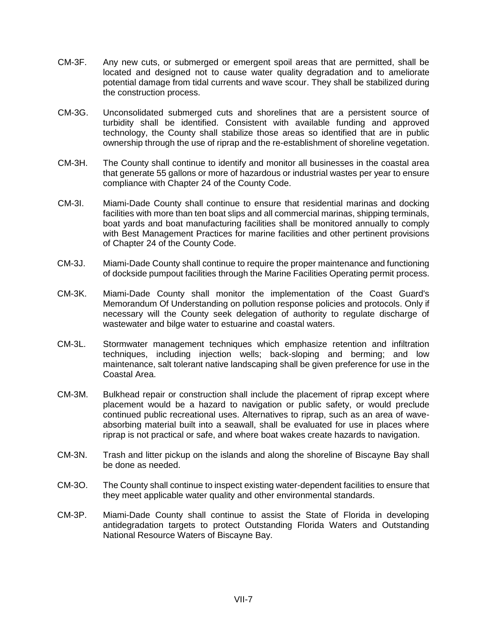- CM-3F. Any new cuts, or submerged or emergent spoil areas that are permitted, shall be located and designed not to cause water quality degradation and to ameliorate potential damage from tidal currents and wave scour. They shall be stabilized during the construction process.
- CM-3G. Unconsolidated submerged cuts and shorelines that are a persistent source of turbidity shall be identified. Consistent with available funding and approved technology, the County shall stabilize those areas so identified that are in public ownership through the use of riprap and the re-establishment of shoreline vegetation.
- CM-3H. The County shall continue to identify and monitor all businesses in the coastal area that generate 55 gallons or more of hazardous or industrial wastes per year to ensure compliance with Chapter 24 of the County Code.
- CM-3I. Miami-Dade County shall continue to ensure that residential marinas and docking facilities with more than ten boat slips and all commercial marinas, shipping terminals, boat yards and boat manufacturing facilities shall be monitored annually to comply with Best Management Practices for marine facilities and other pertinent provisions of Chapter 24 of the County Code.
- CM-3J. Miami-Dade County shall continue to require the proper maintenance and functioning of dockside pumpout facilities through the Marine Facilities Operating permit process.
- CM-3K. Miami-Dade County shall monitor the implementation of the Coast Guard's Memorandum Of Understanding on pollution response policies and protocols. Only if necessary will the County seek delegation of authority to regulate discharge of wastewater and bilge water to estuarine and coastal waters.
- CM-3L. Stormwater management techniques which emphasize retention and infiltration techniques, including injection wells; back-sloping and berming; and low maintenance, salt tolerant native landscaping shall be given preference for use in the Coastal Area.
- CM-3M. Bulkhead repair or construction shall include the placement of riprap except where placement would be a hazard to navigation or public safety, or would preclude continued public recreational uses. Alternatives to riprap, such as an area of waveabsorbing material built into a seawall, shall be evaluated for use in places where riprap is not practical or safe, and where boat wakes create hazards to navigation.
- CM-3N. Trash and litter pickup on the islands and along the shoreline of Biscayne Bay shall be done as needed.
- CM-3O. The County shall continue to inspect existing water-dependent facilities to ensure that they meet applicable water quality and other environmental standards.
- CM-3P. Miami-Dade County shall continue to assist the State of Florida in developing antidegradation targets to protect Outstanding Florida Waters and Outstanding National Resource Waters of Biscayne Bay.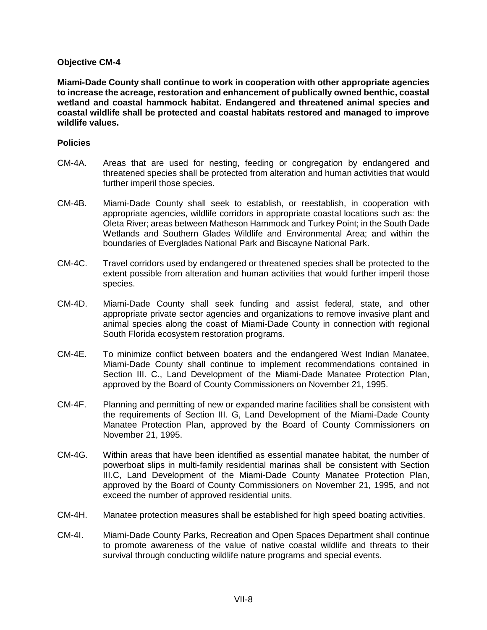**Miami-Dade County shall continue to work in cooperation with other appropriate agencies to increase the acreage, restoration and enhancement of publically owned benthic, coastal wetland and coastal hammock habitat. Endangered and threatened animal species and coastal wildlife shall be protected and coastal habitats restored and managed to improve wildlife values.** 

- CM-4A. Areas that are used for nesting, feeding or congregation by endangered and threatened species shall be protected from alteration and human activities that would further imperil those species.
- CM-4B. Miami-Dade County shall seek to establish, or reestablish, in cooperation with appropriate agencies, wildlife corridors in appropriate coastal locations such as: the Oleta River; areas between Matheson Hammock and Turkey Point; in the South Dade Wetlands and Southern Glades Wildlife and Environmental Area; and within the boundaries of Everglades National Park and Biscayne National Park.
- CM-4C. Travel corridors used by endangered or threatened species shall be protected to the extent possible from alteration and human activities that would further imperil those species.
- CM-4D. Miami-Dade County shall seek funding and assist federal, state, and other appropriate private sector agencies and organizations to remove invasive plant and animal species along the coast of Miami-Dade County in connection with regional South Florida ecosystem restoration programs.
- CM-4E. To minimize conflict between boaters and the endangered West Indian Manatee, Miami-Dade County shall continue to implement recommendations contained in Section III. C., Land Development of the Miami-Dade Manatee Protection Plan, approved by the Board of County Commissioners on November 21, 1995.
- CM-4F. Planning and permitting of new or expanded marine facilities shall be consistent with the requirements of Section III. G, Land Development of the Miami-Dade County Manatee Protection Plan, approved by the Board of County Commissioners on November 21, 1995.
- CM-4G. Within areas that have been identified as essential manatee habitat, the number of powerboat slips in multi-family residential marinas shall be consistent with Section III.C, Land Development of the Miami-Dade County Manatee Protection Plan, approved by the Board of County Commissioners on November 21, 1995, and not exceed the number of approved residential units.
- CM-4H. Manatee protection measures shall be established for high speed boating activities.
- CM-4I. Miami-Dade County Parks, Recreation and Open Spaces Department shall continue to promote awareness of the value of native coastal wildlife and threats to their survival through conducting wildlife nature programs and special events.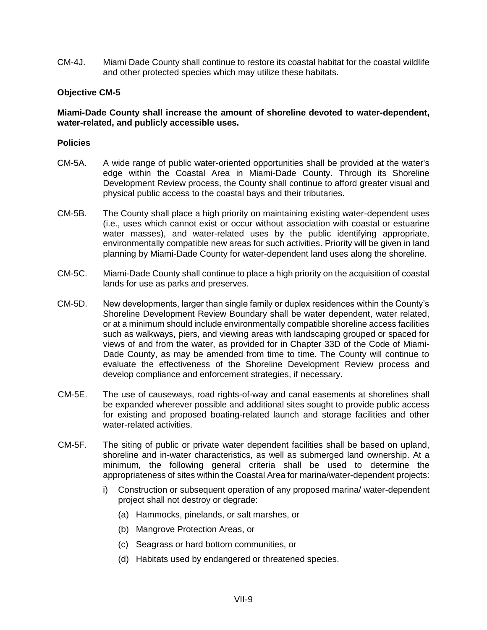CM-4J. Miami Dade County shall continue to restore its coastal habitat for the coastal wildlife and other protected species which may utilize these habitats.

# **Objective CM-5**

# **Miami-Dade County shall increase the amount of shoreline devoted to water-dependent, water-related, and publicly accessible uses.**

- CM-5A. A wide range of public water-oriented opportunities shall be provided at the water's edge within the Coastal Area in Miami-Dade County. Through its Shoreline Development Review process, the County shall continue to afford greater visual and physical public access to the coastal bays and their tributaries.
- CM-5B. The County shall place a high priority on maintaining existing water-dependent uses (i.e., uses which cannot exist or occur without association with coastal or estuarine water masses), and water-related uses by the public identifying appropriate, environmentally compatible new areas for such activities. Priority will be given in land planning by Miami-Dade County for water-dependent land uses along the shoreline.
- CM-5C. Miami-Dade County shall continue to place a high priority on the acquisition of coastal lands for use as parks and preserves.
- CM-5D. New developments, larger than single family or duplex residences within the County's Shoreline Development Review Boundary shall be water dependent, water related, or at a minimum should include environmentally compatible shoreline access facilities such as walkways, piers, and viewing areas with landscaping grouped or spaced for views of and from the water, as provided for in Chapter 33D of the Code of Miami-Dade County, as may be amended from time to time. The County will continue to evaluate the effectiveness of the Shoreline Development Review process and develop compliance and enforcement strategies, if necessary.
- CM-5E. The use of causeways, road rights-of-way and canal easements at shorelines shall be expanded wherever possible and additional sites sought to provide public access for existing and proposed boating-related launch and storage facilities and other water-related activities.
- CM-5F. The siting of public or private water dependent facilities shall be based on upland, shoreline and in-water characteristics, as well as submerged land ownership. At a minimum, the following general criteria shall be used to determine the appropriateness of sites within the Coastal Area for marina/water-dependent projects:
	- i) Construction or subsequent operation of any proposed marina/ water-dependent project shall not destroy or degrade:
		- (a) Hammocks, pinelands, or salt marshes, or
		- (b) Mangrove Protection Areas, or
		- (c) Seagrass or hard bottom communities, or
		- (d) Habitats used by endangered or threatened species.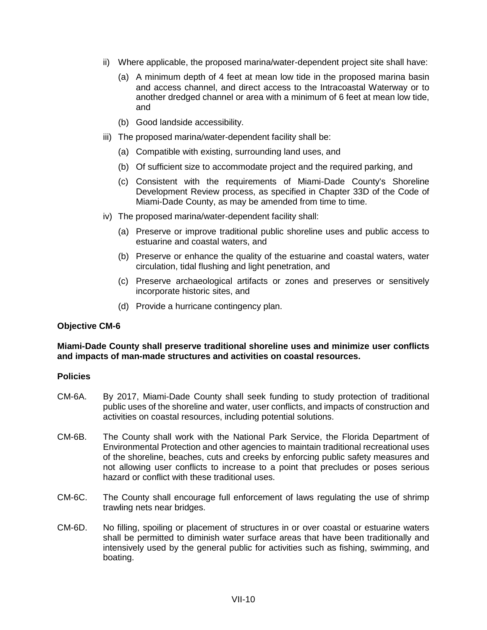- ii) Where applicable, the proposed marina/water-dependent project site shall have:
	- (a) A minimum depth of 4 feet at mean low tide in the proposed marina basin and access channel, and direct access to the Intracoastal Waterway or to another dredged channel or area with a minimum of 6 feet at mean low tide, and
	- (b) Good landside accessibility.
- iii) The proposed marina/water-dependent facility shall be:
	- (a) Compatible with existing, surrounding land uses, and
	- (b) Of sufficient size to accommodate project and the required parking, and
	- (c) Consistent with the requirements of Miami-Dade County's Shoreline Development Review process, as specified in Chapter 33D of the Code of Miami-Dade County, as may be amended from time to time.
- iv) The proposed marina/water-dependent facility shall:
	- (a) Preserve or improve traditional public shoreline uses and public access to estuarine and coastal waters, and
	- (b) Preserve or enhance the quality of the estuarine and coastal waters, water circulation, tidal flushing and light penetration, and
	- (c) Preserve archaeological artifacts or zones and preserves or sensitively incorporate historic sites, and
	- (d) Provide a hurricane contingency plan.

# **Miami-Dade County shall preserve traditional shoreline uses and minimize user conflicts and impacts of man-made structures and activities on coastal resources.**

- CM-6A. By 2017, Miami-Dade County shall seek funding to study protection of traditional public uses of the shoreline and water, user conflicts, and impacts of construction and activities on coastal resources, including potential solutions.
- CM-6B. The County shall work with the National Park Service, the Florida Department of Environmental Protection and other agencies to maintain traditional recreational uses of the shoreline, beaches, cuts and creeks by enforcing public safety measures and not allowing user conflicts to increase to a point that precludes or poses serious hazard or conflict with these traditional uses.
- CM-6C. The County shall encourage full enforcement of laws regulating the use of shrimp trawling nets near bridges.
- CM-6D. No filling, spoiling or placement of structures in or over coastal or estuarine waters shall be permitted to diminish water surface areas that have been traditionally and intensively used by the general public for activities such as fishing, swimming, and boating.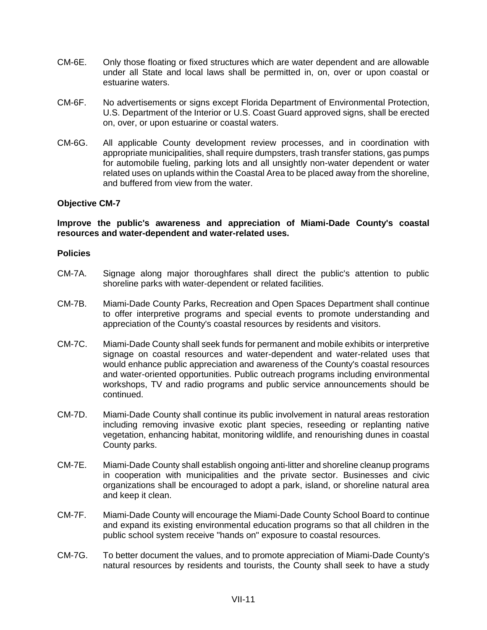- CM-6E. Only those floating or fixed structures which are water dependent and are allowable under all State and local laws shall be permitted in, on, over or upon coastal or estuarine waters.
- CM-6F. No advertisements or signs except Florida Department of Environmental Protection, U.S. Department of the Interior or U.S. Coast Guard approved signs, shall be erected on, over, or upon estuarine or coastal waters.
- CM-6G. All applicable County development review processes, and in coordination with appropriate municipalities, shall require dumpsters, trash transfer stations, gas pumps for automobile fueling, parking lots and all unsightly non-water dependent or water related uses on uplands within the Coastal Area to be placed away from the shoreline, and buffered from view from the water.

# **Improve the public's awareness and appreciation of Miami-Dade County's coastal resources and water-dependent and water-related uses.**

- CM-7A. Signage along major thoroughfares shall direct the public's attention to public shoreline parks with water-dependent or related facilities.
- CM-7B. Miami-Dade County Parks, Recreation and Open Spaces Department shall continue to offer interpretive programs and special events to promote understanding and appreciation of the County's coastal resources by residents and visitors.
- CM-7C. Miami-Dade County shall seek funds for permanent and mobile exhibits or interpretive signage on coastal resources and water-dependent and water-related uses that would enhance public appreciation and awareness of the County's coastal resources and water-oriented opportunities. Public outreach programs including environmental workshops, TV and radio programs and public service announcements should be continued.
- CM-7D. Miami-Dade County shall continue its public involvement in natural areas restoration including removing invasive exotic plant species, reseeding or replanting native vegetation, enhancing habitat, monitoring wildlife, and renourishing dunes in coastal County parks.
- CM-7E. Miami-Dade County shall establish ongoing anti-litter and shoreline cleanup programs in cooperation with municipalities and the private sector. Businesses and civic organizations shall be encouraged to adopt a park, island, or shoreline natural area and keep it clean.
- CM-7F. Miami-Dade County will encourage the Miami-Dade County School Board to continue and expand its existing environmental education programs so that all children in the public school system receive "hands on" exposure to coastal resources.
- CM-7G. To better document the values, and to promote appreciation of Miami-Dade County's natural resources by residents and tourists, the County shall seek to have a study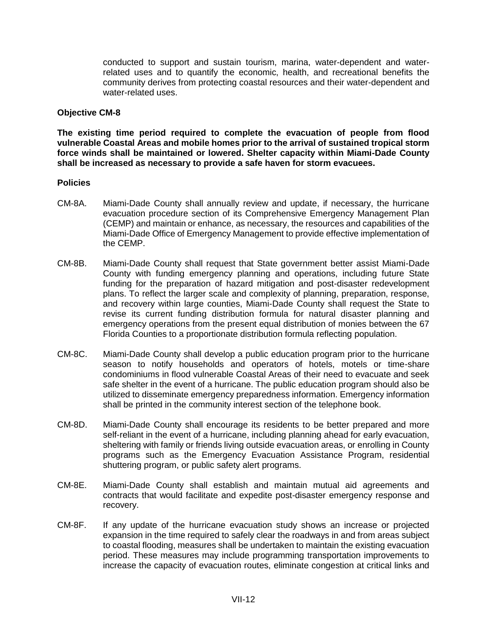conducted to support and sustain tourism, marina, water-dependent and waterrelated uses and to quantify the economic, health, and recreational benefits the community derives from protecting coastal resources and their water-dependent and water-related uses.

#### **Objective CM-8**

**The existing time period required to complete the evacuation of people from flood vulnerable Coastal Areas and mobile homes prior to the arrival of sustained tropical storm force winds shall be maintained or lowered. Shelter capacity within Miami-Dade County shall be increased as necessary to provide a safe haven for storm evacuees.** 

- CM-8A. Miami-Dade County shall annually review and update, if necessary, the hurricane evacuation procedure section of its Comprehensive Emergency Management Plan (CEMP) and maintain or enhance, as necessary, the resources and capabilities of the Miami-Dade Office of Emergency Management to provide effective implementation of the CEMP.
- CM-8B. Miami-Dade County shall request that State government better assist Miami-Dade County with funding emergency planning and operations, including future State funding for the preparation of hazard mitigation and post-disaster redevelopment plans. To reflect the larger scale and complexity of planning, preparation, response, and recovery within large counties, Miami-Dade County shall request the State to revise its current funding distribution formula for natural disaster planning and emergency operations from the present equal distribution of monies between the 67 Florida Counties to a proportionate distribution formula reflecting population.
- CM-8C. Miami-Dade County shall develop a public education program prior to the hurricane season to notify households and operators of hotels, motels or time-share condominiums in flood vulnerable Coastal Areas of their need to evacuate and seek safe shelter in the event of a hurricane. The public education program should also be utilized to disseminate emergency preparedness information. Emergency information shall be printed in the community interest section of the telephone book.
- CM-8D. Miami-Dade County shall encourage its residents to be better prepared and more self-reliant in the event of a hurricane, including planning ahead for early evacuation, sheltering with family or friends living outside evacuation areas, or enrolling in County programs such as the Emergency Evacuation Assistance Program, residential shuttering program, or public safety alert programs.
- CM-8E. Miami-Dade County shall establish and maintain mutual aid agreements and contracts that would facilitate and expedite post-disaster emergency response and recovery.
- CM-8F. If any update of the hurricane evacuation study shows an increase or projected expansion in the time required to safely clear the roadways in and from areas subject to coastal flooding, measures shall be undertaken to maintain the existing evacuation period. These measures may include programming transportation improvements to increase the capacity of evacuation routes, eliminate congestion at critical links and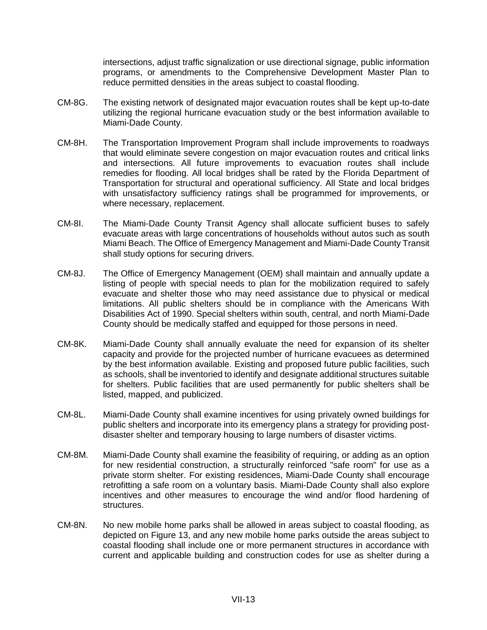intersections, adjust traffic signalization or use directional signage, public information programs, or amendments to the Comprehensive Development Master Plan to reduce permitted densities in the areas subject to coastal flooding.

- CM-8G. The existing network of designated major evacuation routes shall be kept up-to-date utilizing the regional hurricane evacuation study or the best information available to Miami-Dade County.
- CM-8H. The Transportation Improvement Program shall include improvements to roadways that would eliminate severe congestion on major evacuation routes and critical links and intersections. All future improvements to evacuation routes shall include remedies for flooding. All local bridges shall be rated by the Florida Department of Transportation for structural and operational sufficiency. All State and local bridges with unsatisfactory sufficiency ratings shall be programmed for improvements, or where necessary, replacement.
- CM-8I. The Miami-Dade County Transit Agency shall allocate sufficient buses to safely evacuate areas with large concentrations of households without autos such as south Miami Beach. The Office of Emergency Management and Miami-Dade County Transit shall study options for securing drivers.
- CM-8J. The Office of Emergency Management (OEM) shall maintain and annually update a listing of people with special needs to plan for the mobilization required to safely evacuate and shelter those who may need assistance due to physical or medical limitations. All public shelters should be in compliance with the Americans With Disabilities Act of 1990. Special shelters within south, central, and north Miami-Dade County should be medically staffed and equipped for those persons in need.
- CM-8K. Miami-Dade County shall annually evaluate the need for expansion of its shelter capacity and provide for the projected number of hurricane evacuees as determined by the best information available. Existing and proposed future public facilities, such as schools, shall be inventoried to identify and designate additional structures suitable for shelters. Public facilities that are used permanently for public shelters shall be listed, mapped, and publicized.
- CM-8L. Miami-Dade County shall examine incentives for using privately owned buildings for public shelters and incorporate into its emergency plans a strategy for providing postdisaster shelter and temporary housing to large numbers of disaster victims.
- CM-8M. Miami-Dade County shall examine the feasibility of requiring, or adding as an option for new residential construction, a structurally reinforced "safe room" for use as a private storm shelter. For existing residences, Miami-Dade County shall encourage retrofitting a safe room on a voluntary basis. Miami-Dade County shall also explore incentives and other measures to encourage the wind and/or flood hardening of structures.
- CM-8N. No new mobile home parks shall be allowed in areas subject to coastal flooding, as depicted on Figure 13, and any new mobile home parks outside the areas subject to coastal flooding shall include one or more permanent structures in accordance with current and applicable building and construction codes for use as shelter during a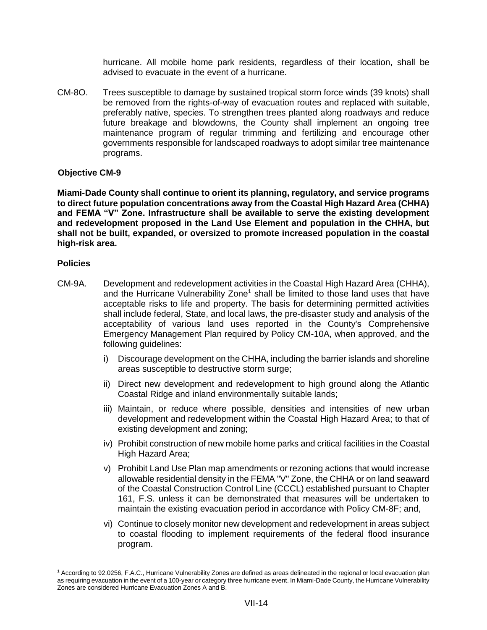hurricane. All mobile home park residents, regardless of their location, shall be advised to evacuate in the event of a hurricane.

CM-8O. Trees susceptible to damage by sustained tropical storm force winds (39 knots) shall be removed from the rights-of-way of evacuation routes and replaced with suitable, preferably native, species. To strengthen trees planted along roadways and reduce future breakage and blowdowns, the County shall implement an ongoing tree maintenance program of regular trimming and fertilizing and encourage other governments responsible for landscaped roadways to adopt similar tree maintenance programs.

#### **Objective CM-9**

**Miami-Dade County shall continue to orient its planning, regulatory, and service programs to direct future population concentrations away from the Coastal High Hazard Area (CHHA) and FEMA "V" Zone. Infrastructure shall be available to serve the existing development and redevelopment proposed in the Land Use Element and population in the CHHA, but shall not be built, expanded, or oversized to promote increased population in the coastal high-risk area.**

- CM-9A. Development and redevelopment activities in the Coastal High Hazard Area (CHHA), and the Hurricane Vulnerability Zone**<sup>1</sup>** shall be limited to those land uses that have acceptable risks to life and property. The basis for determining permitted activities shall include federal, State, and local laws, the pre-disaster study and analysis of the acceptability of various land uses reported in the County's Comprehensive Emergency Management Plan required by Policy CM-10A, when approved, and the following guidelines:
	- i) Discourage development on the CHHA, including the barrier islands and shoreline areas susceptible to destructive storm surge;
	- ii) Direct new development and redevelopment to high ground along the Atlantic Coastal Ridge and inland environmentally suitable lands;
	- iii) Maintain, or reduce where possible, densities and intensities of new urban development and redevelopment within the Coastal High Hazard Area; to that of existing development and zoning;
	- iv) Prohibit construction of new mobile home parks and critical facilities in the Coastal High Hazard Area;
	- v) Prohibit Land Use Plan map amendments or rezoning actions that would increase allowable residential density in the FEMA "V" Zone, the CHHA or on land seaward of the Coastal Construction Control Line (CCCL) established pursuant to Chapter 161, F.S. unless it can be demonstrated that measures will be undertaken to maintain the existing evacuation period in accordance with Policy CM-8F; and,
	- vi) Continue to closely monitor new development and redevelopment in areas subject to coastal flooding to implement requirements of the federal flood insurance program.

**<sup>1</sup>** According to 92.0256, F.A.C., Hurricane Vulnerability Zones are defined as areas delineated in the regional or local evacuation plan as requiring evacuation in the event of a 100-year or category three hurricane event. In Miami-Dade County, the Hurricane Vulnerability Zones are considered Hurricane Evacuation Zones A and B.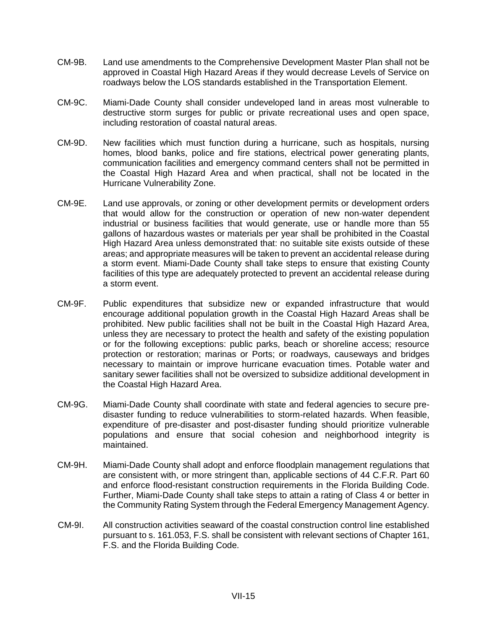- CM-9B. Land use amendments to the Comprehensive Development Master Plan shall not be approved in Coastal High Hazard Areas if they would decrease Levels of Service on roadways below the LOS standards established in the Transportation Element.
- CM-9C. Miami-Dade County shall consider undeveloped land in areas most vulnerable to destructive storm surges for public or private recreational uses and open space, including restoration of coastal natural areas.
- CM-9D. New facilities which must function during a hurricane, such as hospitals, nursing homes, blood banks, police and fire stations, electrical power generating plants, communication facilities and emergency command centers shall not be permitted in the Coastal High Hazard Area and when practical, shall not be located in the Hurricane Vulnerability Zone.
- CM-9E. Land use approvals, or zoning or other development permits or development orders that would allow for the construction or operation of new non-water dependent industrial or business facilities that would generate, use or handle more than 55 gallons of hazardous wastes or materials per year shall be prohibited in the Coastal High Hazard Area unless demonstrated that: no suitable site exists outside of these areas; and appropriate measures will be taken to prevent an accidental release during a storm event. Miami-Dade County shall take steps to ensure that existing County facilities of this type are adequately protected to prevent an accidental release during a storm event.
- CM-9F. Public expenditures that subsidize new or expanded infrastructure that would encourage additional population growth in the Coastal High Hazard Areas shall be prohibited. New public facilities shall not be built in the Coastal High Hazard Area, unless they are necessary to protect the health and safety of the existing population or for the following exceptions: public parks, beach or shoreline access; resource protection or restoration; marinas or Ports; or roadways, causeways and bridges necessary to maintain or improve hurricane evacuation times. Potable water and sanitary sewer facilities shall not be oversized to subsidize additional development in the Coastal High Hazard Area.
- CM-9G. Miami-Dade County shall coordinate with state and federal agencies to secure predisaster funding to reduce vulnerabilities to storm-related hazards. When feasible, expenditure of pre-disaster and post-disaster funding should prioritize vulnerable populations and ensure that social cohesion and neighborhood integrity is maintained.
- CM-9H. Miami-Dade County shall adopt and enforce floodplain management regulations that are consistent with, or more stringent than, applicable sections of 44 C.F.R. Part 60 and enforce flood-resistant construction requirements in the Florida Building Code. Further, Miami-Dade County shall take steps to attain a rating of Class 4 or better in the Community Rating System through the Federal Emergency Management Agency.
- CM-9I. All construction activities seaward of the coastal construction control line established pursuant to s. 161.053, F.S. shall be consistent with relevant sections of Chapter 161, F.S. and the Florida Building Code.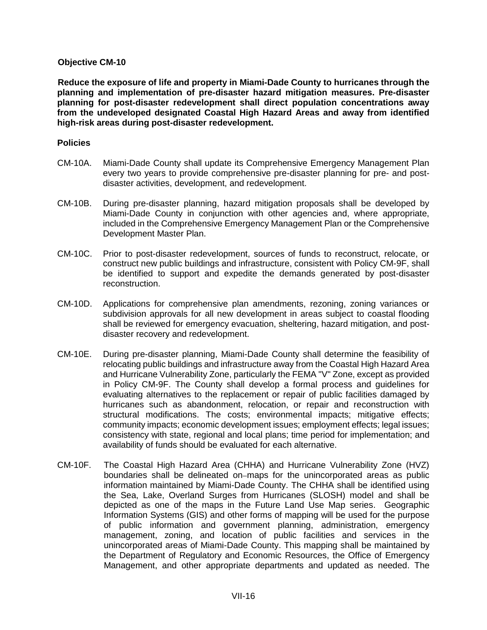**Reduce the exposure of life and property in Miami-Dade County to hurricanes through the planning and implementation of pre-disaster hazard mitigation measures. Pre-disaster planning for post-disaster redevelopment shall direct population concentrations away from the undeveloped designated Coastal High Hazard Areas and away from identified high-risk areas during post-disaster redevelopment.** 

- CM-10A. Miami-Dade County shall update its Comprehensive Emergency Management Plan every two years to provide comprehensive pre-disaster planning for pre- and postdisaster activities, development, and redevelopment.
- CM-10B. During pre-disaster planning, hazard mitigation proposals shall be developed by Miami-Dade County in conjunction with other agencies and, where appropriate, included in the Comprehensive Emergency Management Plan or the Comprehensive Development Master Plan.
- CM-10C. Prior to post-disaster redevelopment, sources of funds to reconstruct, relocate, or construct new public buildings and infrastructure, consistent with Policy CM-9F, shall be identified to support and expedite the demands generated by post-disaster reconstruction.
- CM-10D. Applications for comprehensive plan amendments, rezoning, zoning variances or subdivision approvals for all new development in areas subject to coastal flooding shall be reviewed for emergency evacuation, sheltering, hazard mitigation, and postdisaster recovery and redevelopment.
- CM-10E. During pre-disaster planning, Miami-Dade County shall determine the feasibility of relocating public buildings and infrastructure away from the Coastal High Hazard Area and Hurricane Vulnerability Zone, particularly the FEMA "V" Zone, except as provided in Policy CM-9F. The County shall develop a formal process and guidelines for evaluating alternatives to the replacement or repair of public facilities damaged by hurricanes such as abandonment, relocation, or repair and reconstruction with structural modifications. The costs; environmental impacts; mitigative effects; community impacts; economic development issues; employment effects; legal issues; consistency with state, regional and local plans; time period for implementation; and availability of funds should be evaluated for each alternative.
- CM-10F. The Coastal High Hazard Area (CHHA) and Hurricane Vulnerability Zone (HVZ) boundaries shall be delineated on–maps for the unincorporated areas as public information maintained by Miami-Dade County. The CHHA shall be identified using the Sea, Lake, Overland Surges from Hurricanes (SLOSH) model and shall be depicted as one of the maps in the Future Land Use Map series. Geographic Information Systems (GIS) and other forms of mapping will be used for the purpose of public information and government planning, administration, emergency management, zoning, and location of public facilities and services in the unincorporated areas of Miami-Dade County. This mapping shall be maintained by the Department of Regulatory and Economic Resources, the Office of Emergency Management, and other appropriate departments and updated as needed. The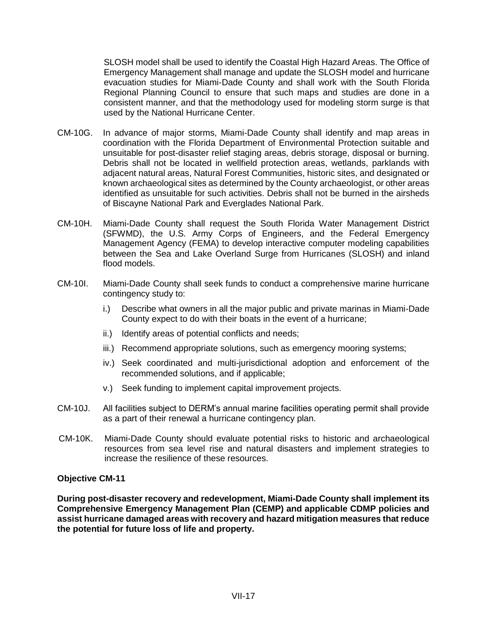SLOSH model shall be used to identify the Coastal High Hazard Areas. The Office of Emergency Management shall manage and update the SLOSH model and hurricane evacuation studies for Miami-Dade County and shall work with the South Florida Regional Planning Council to ensure that such maps and studies are done in a consistent manner, and that the methodology used for modeling storm surge is that used by the National Hurricane Center.

- CM-10G. In advance of major storms, Miami-Dade County shall identify and map areas in coordination with the Florida Department of Environmental Protection suitable and unsuitable for post-disaster relief staging areas, debris storage, disposal or burning. Debris shall not be located in wellfield protection areas, wetlands, parklands with adjacent natural areas, Natural Forest Communities, historic sites, and designated or known archaeological sites as determined by the County archaeologist, or other areas identified as unsuitable for such activities. Debris shall not be burned in the airsheds of Biscayne National Park and Everglades National Park.
- CM-10H. Miami-Dade County shall request the South Florida Water Management District (SFWMD), the U.S. Army Corps of Engineers, and the Federal Emergency Management Agency (FEMA) to develop interactive computer modeling capabilities between the Sea and Lake Overland Surge from Hurricanes (SLOSH) and inland flood models.
- CM-10I. Miami-Dade County shall seek funds to conduct a comprehensive marine hurricane contingency study to:
	- i.) Describe what owners in all the major public and private marinas in Miami-Dade County expect to do with their boats in the event of a hurricane;
	- ii.) Identify areas of potential conflicts and needs;
	- iii.) Recommend appropriate solutions, such as emergency mooring systems;
	- iv.) Seek coordinated and multi-jurisdictional adoption and enforcement of the recommended solutions, and if applicable;
	- v.) Seek funding to implement capital improvement projects.
- CM-10J. All facilities subject to DERM's annual marine facilities operating permit shall provide as a part of their renewal a hurricane contingency plan.
- CM-10K. Miami-Dade County should evaluate potential risks to historic and archaeological resources from sea level rise and natural disasters and implement strategies to increase the resilience of these resources.

# **Objective CM-11**

**During post-disaster recovery and redevelopment, Miami-Dade County shall implement its Comprehensive Emergency Management Plan (CEMP) and applicable CDMP policies and assist hurricane damaged areas with recovery and hazard mitigation measures that reduce the potential for future loss of life and property.**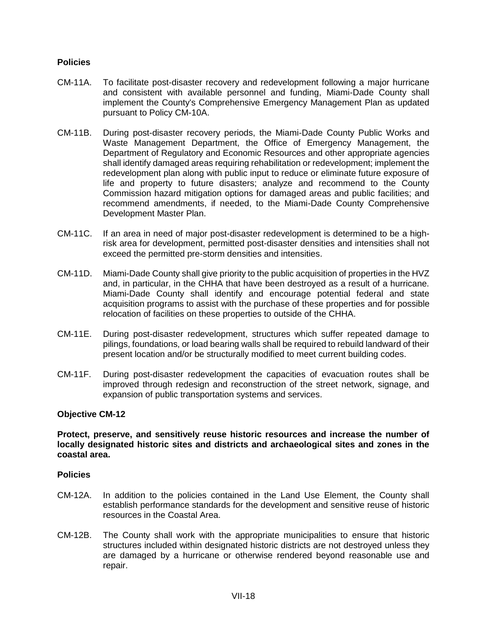# **Policies**

- CM-11A. To facilitate post-disaster recovery and redevelopment following a major hurricane and consistent with available personnel and funding, Miami-Dade County shall implement the County's Comprehensive Emergency Management Plan as updated pursuant to Policy CM-10A.
- CM-11B. During post-disaster recovery periods, the Miami-Dade County Public Works and Waste Management Department, the Office of Emergency Management, the Department of Regulatory and Economic Resources and other appropriate agencies shall identify damaged areas requiring rehabilitation or redevelopment; implement the redevelopment plan along with public input to reduce or eliminate future exposure of life and property to future disasters; analyze and recommend to the County Commission hazard mitigation options for damaged areas and public facilities; and recommend amendments, if needed, to the Miami-Dade County Comprehensive Development Master Plan.
- CM-11C. If an area in need of major post-disaster redevelopment is determined to be a highrisk area for development, permitted post-disaster densities and intensities shall not exceed the permitted pre-storm densities and intensities.
- CM-11D. Miami-Dade County shall give priority to the public acquisition of properties in the HVZ and, in particular, in the CHHA that have been destroyed as a result of a hurricane. Miami-Dade County shall identify and encourage potential federal and state acquisition programs to assist with the purchase of these properties and for possible relocation of facilities on these properties to outside of the CHHA.
- CM-11E. During post-disaster redevelopment, structures which suffer repeated damage to pilings, foundations, or load bearing walls shall be required to rebuild landward of their present location and/or be structurally modified to meet current building codes.
- CM-11F. During post-disaster redevelopment the capacities of evacuation routes shall be improved through redesign and reconstruction of the street network, signage, and expansion of public transportation systems and services.

#### **Objective CM-12**

#### **Protect, preserve, and sensitively reuse historic resources and increase the number of locally designated historic sites and districts and archaeological sites and zones in the coastal area.**

- CM-12A. In addition to the policies contained in the Land Use Element, the County shall establish performance standards for the development and sensitive reuse of historic resources in the Coastal Area.
- CM-12B. The County shall work with the appropriate municipalities to ensure that historic structures included within designated historic districts are not destroyed unless they are damaged by a hurricane or otherwise rendered beyond reasonable use and repair.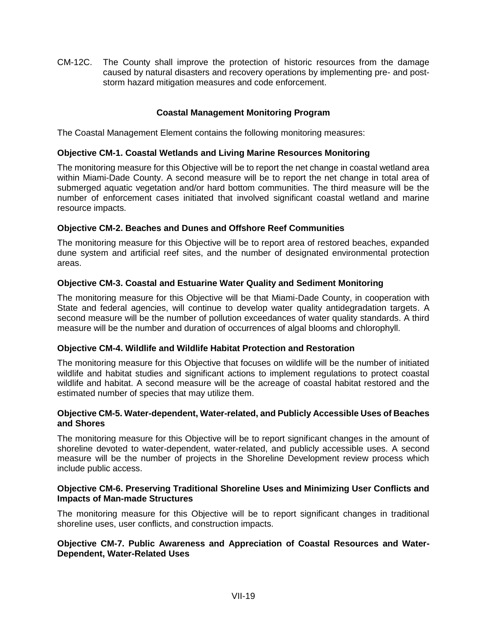CM-12C. The County shall improve the protection of historic resources from the damage caused by natural disasters and recovery operations by implementing pre- and poststorm hazard mitigation measures and code enforcement.

# **Coastal Management Monitoring Program**

The Coastal Management Element contains the following monitoring measures:

# **Objective CM-1. Coastal Wetlands and Living Marine Resources Monitoring**

The monitoring measure for this Objective will be to report the net change in coastal wetland area within Miami-Dade County. A second measure will be to report the net change in total area of submerged aquatic vegetation and/or hard bottom communities. The third measure will be the number of enforcement cases initiated that involved significant coastal wetland and marine resource impacts.

# **Objective CM-2. Beaches and Dunes and Offshore Reef Communities**

The monitoring measure for this Objective will be to report area of restored beaches, expanded dune system and artificial reef sites, and the number of designated environmental protection areas.

# **Objective CM-3. Coastal and Estuarine Water Quality and Sediment Monitoring**

The monitoring measure for this Objective will be that Miami-Dade County, in cooperation with State and federal agencies, will continue to develop water quality antidegradation targets. A second measure will be the number of pollution exceedances of water quality standards. A third measure will be the number and duration of occurrences of algal blooms and chlorophyll.

# **Objective CM-4. Wildlife and Wildlife Habitat Protection and Restoration**

The monitoring measure for this Objective that focuses on wildlife will be the number of initiated wildlife and habitat studies and significant actions to implement regulations to protect coastal wildlife and habitat. A second measure will be the acreage of coastal habitat restored and the estimated number of species that may utilize them.

# **Objective CM-5. Water-dependent, Water-related, and Publicly Accessible Uses of Beaches and Shores**

The monitoring measure for this Objective will be to report significant changes in the amount of shoreline devoted to water-dependent, water-related, and publicly accessible uses. A second measure will be the number of projects in the Shoreline Development review process which include public access.

# **Objective CM-6. Preserving Traditional Shoreline Uses and Minimizing User Conflicts and Impacts of Man-made Structures**

The monitoring measure for this Objective will be to report significant changes in traditional shoreline uses, user conflicts, and construction impacts.

# **Objective CM-7. Public Awareness and Appreciation of Coastal Resources and Water-Dependent, Water-Related Uses**